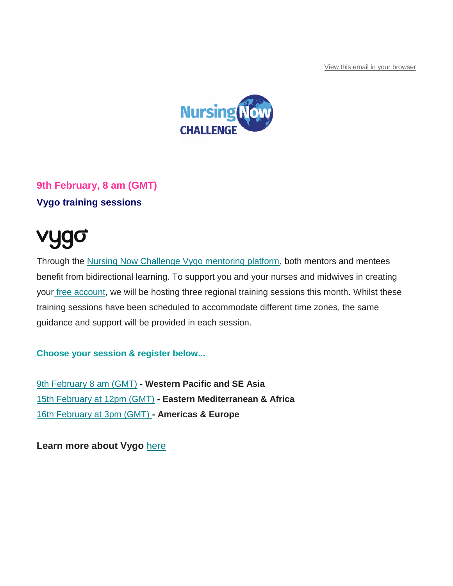[View this email in your browser](https://mailchi.mp/nursingnow/register-for-fridays-nc-conference-to-avoid-disappointment-13580161?e=be03f353fc)



# **9th February, 8 am (GMT) Vygo training sessions**

# vygo

Through the [Nursing Now Challenge Vygo mentoring platform,](https://appg-globalhealth.us17.list-manage.com/track/click?u=52efad79202f98db32d63c32e&id=41c25701ed&e=be03f353fc) both mentors and mentees benefit from bidirectional learning. To support you and your nurses and midwives in creating your [free account,](https://appg-globalhealth.us17.list-manage.com/track/click?u=52efad79202f98db32d63c32e&id=c6748e17d6&e=be03f353fc) we will be hosting three regional training sessions this month. Whilst these training sessions have been scheduled to accommodate different time zones, the same guidance and support will be provided in each session.

**Choose your session & register below...**

[9th February 8 am \(GMT\)](https://appg-globalhealth.us17.list-manage.com/track/click?u=52efad79202f98db32d63c32e&id=b364afc337&e=be03f353fc) **- Western Pacific and SE Asia** [15th February at 12pm \(GMT\)](https://appg-globalhealth.us17.list-manage.com/track/click?u=52efad79202f98db32d63c32e&id=3d65ff25c9&e=be03f353fc) **- Eastern Mediterranean & Africa** [16th February at 3pm \(GMT\)](https://appg-globalhealth.us17.list-manage.com/track/click?u=52efad79202f98db32d63c32e&id=0601a9187f&e=be03f353fc) **- Americas & Europe**

**Learn more about Vygo** [here](https://appg-globalhealth.us17.list-manage.com/track/click?u=52efad79202f98db32d63c32e&id=4b0e722914&e=be03f353fc)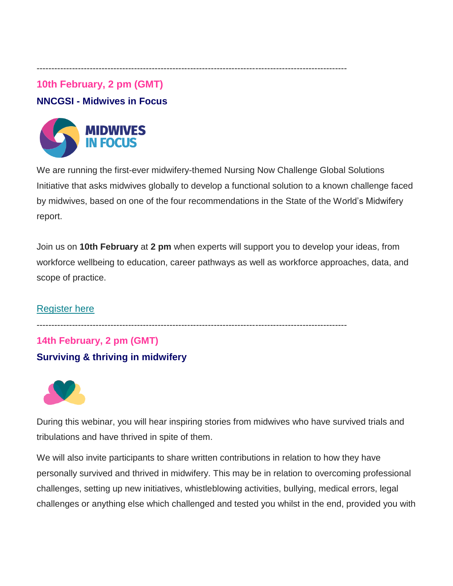## **10th February, 2 pm (GMT)**

## **NNCGSI - Midwives in Focus**



We are running the first-ever midwifery-themed Nursing Now Challenge Global Solutions Initiative that asks midwives globally to develop a functional solution to a known challenge faced by midwives, based on one of the four recommendations in the State of the World's Midwifery report.

Join us on **10th February** at **2 pm** when experts will support you to develop your ideas, from workforce wellbeing to education, career pathways as well as workforce approaches, data, and scope of practice.

#### [Register here](https://appg-globalhealth.us17.list-manage.com/track/click?u=52efad79202f98db32d63c32e&id=dda33c773b&e=be03f353fc)

---------------------------------------------------------------------------------------------------------

---------------------------------------------------------------------------------------------------------

# **14th February, 2 pm (GMT) Surviving & thriving in midwifery**



During this webinar, you will hear inspiring stories from midwives who have survived trials and tribulations and have thrived in spite of them.

We will also invite participants to share written contributions in relation to how they have personally survived and thrived in midwifery. This may be in relation to overcoming professional challenges, setting up new initiatives, whistleblowing activities, bullying, medical errors, legal challenges or anything else which challenged and tested you whilst in the end, provided you with